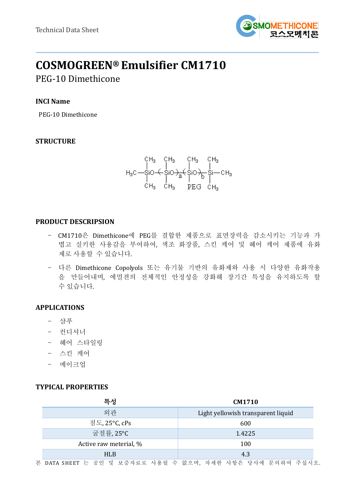

# **COSMOGREEN® Emulsifier CM1710**

# PEG-10 Dimethicone

# **INCI Name**

PEG-10 Dimethicone

# **STRUCTURE**

# **PRODUCT DESCRIPSION**

- CM1710은 Dimethicone에 PEG를 결합한 제품으로 표면장력을 감소시키는 기능과 가 볍고 실키한 사용감을 부여하여, 색조 화장품, 스킨 케어 및 헤어 케어 제품에 유화 제로 사용할 수 있습니다.
- 다른 Dimethicone Copolyols 또는 유기물 기반의 유화제와 사용 시 다양한 유화작용 을 만들어내며, 에멀젼의 전체적인 안정성을 강화해 장기간 특성을 유지하도록 할 수 있습니다.

# **APPLICATIONS**

- 샴푸
- 컨디셔너
- 헤어 스타일링
- 스킨 케어
- 메이크업

#### **TYPICAL PROPERTIES**

| 특성                     | CM1710                             |  |  |
|------------------------|------------------------------------|--|--|
| 외관                     | Light yellowish transparent liquid |  |  |
| 점도, 25°C, cPs          | 600                                |  |  |
| 굴절률, 25°C              | 1.4225                             |  |  |
| Active raw meterial, % | 100                                |  |  |
| <b>HLB</b>             | 4.3                                |  |  |

본 DATA SHEET 는 공인 및 보증자료로 사용될 수 없으며, 자세한 사항은 당사에 문의하여 주십시오.